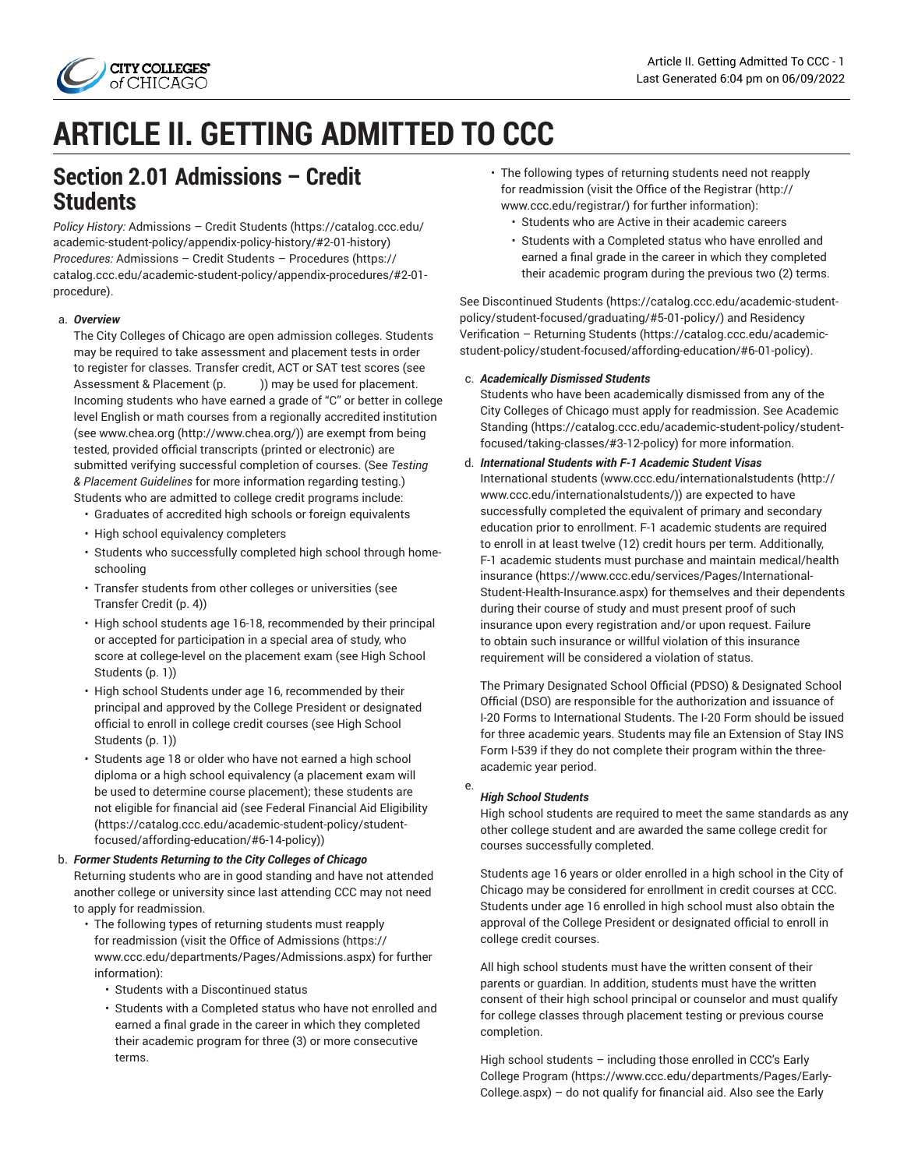

# **ARTICLE II. GETTING ADMITTED TO CCC**

# <span id="page-0-0"></span>**Section 2.01 Admissions – Credit Students**

*Policy History:* [Admissions](https://catalog.ccc.edu/academic-student-policy/appendix-policy-history/#2-01-history) – Credit Students [\(https://catalog.ccc.edu/](https://catalog.ccc.edu/academic-student-policy/appendix-policy-history/#2-01-history) [academic-student-policy/appendix-policy-history/#2-01-history](https://catalog.ccc.edu/academic-student-policy/appendix-policy-history/#2-01-history)) *Procedures:* [Admissions](https://catalog.ccc.edu/academic-student-policy/appendix-procedures/#2-01-procedure) – Credit Students – Procedures [\(https://](https://catalog.ccc.edu/academic-student-policy/appendix-procedures/#2-01-procedure) [catalog.ccc.edu/academic-student-policy/appendix-procedures/#2-01](https://catalog.ccc.edu/academic-student-policy/appendix-procedures/#2-01-procedure) [procedure](https://catalog.ccc.edu/academic-student-policy/appendix-procedures/#2-01-procedure)).

### a. *Overview*

The City Colleges of Chicago are open admission colleges. Students may be required to take assessment and placement tests in order to register for classes. Transfer credit, ACT or SAT test scores (see Assessment & Placement  $(p.$   $)$ ) may be used for placement. Incoming students who have earned a grade of "C" or better in college level English or math courses from a regionally accredited institution (see [www.chea.org](http://www.chea.org/) ([http://www.chea.org/\)](http://www.chea.org/)) are exempt from being tested, provided official transcripts (printed or electronic) are submitted verifying successful completion of courses. (See *Testing & Placement Guidelines* for more information regarding testing.) Students who are admitted to college credit programs include:

- Graduates of accredited high schools or foreign equivalents
- High school equivalency completers
- Students who successfully completed high school through homeschooling
- Transfer students from other colleges or universities (see [Transfer](#page-3-0) Credit ([p. 4\)](#page-3-0))
- High school students age 16-18, recommended by their principal or accepted for participation in a special area of study, who score at college-level on the placement exam (see [High School](#page-0-0) [Students \(p. 1](#page-0-0)))
- High school Students under age 16, recommended by their principal and approved by the College President or designated official to enroll in college credit courses (see [High School](#page-0-0) [Students \(p. 1](#page-0-0)))
- Students age 18 or older who have not earned a high school diploma or a high school equivalency (a placement exam will be used to determine course placement); these students are not eligible for financial aid (see Federal [Financial](https://catalog.ccc.edu/academic-student-policy/student-focused/affording-education/#6-14-policy) Aid Eligibility ([https://catalog.ccc.edu/academic-student-policy/student](https://catalog.ccc.edu/academic-student-policy/student-focused/affording-education/#6-14-policy)[focused/affording-education/#6-14-policy\)](https://catalog.ccc.edu/academic-student-policy/student-focused/affording-education/#6-14-policy))
- b. *Former Students Returning to the City Colleges of Chicago* Returning students who are in good standing and have not attended another college or university since last attending CCC may not need to apply for readmission.
	- The following types of returning students must reapply for readmission (visit the [Office of Admissions](https://www.ccc.edu/departments/Pages/Admissions.aspx) ([https://](https://www.ccc.edu/departments/Pages/Admissions.aspx) [www.ccc.edu/departments/Pages/Admissions.aspx\)](https://www.ccc.edu/departments/Pages/Admissions.aspx) for further information):
		- Students with a Discontinued status
		- Students with a Completed status who have not enrolled and earned a final grade in the career in which they completed their academic program for three (3) or more consecutive terms.
- The following types of returning students need not reapply for readmission (visit the [Office of the Registrar \(http://](http://www.ccc.edu/registrar/) [www.ccc.edu/registrar/](http://www.ccc.edu/registrar/)) for further information):
	- Students who are Active in their academic careers
	- Students with a Completed status who have enrolled and earned a final grade in the career in which they completed their academic program during the previous two (2) terms.

See [Discontinued Students \(https://catalog.ccc.edu/academic-student](https://catalog.ccc.edu/academic-student-policy/student-focused/graduating/#5-01-policy/)[policy/student-focused/graduating/#5-01-policy/](https://catalog.ccc.edu/academic-student-policy/student-focused/graduating/#5-01-policy/)) and [Residency](https://catalog.ccc.edu/academic-student-policy/student-focused/affording-education/#6-01-policy) [Verification](https://catalog.ccc.edu/academic-student-policy/student-focused/affording-education/#6-01-policy) – Returning Students [\(https://catalog.ccc.edu/academic](https://catalog.ccc.edu/academic-student-policy/student-focused/affording-education/#6-01-policy)[student-policy/student-focused/affording-education/#6-01-policy](https://catalog.ccc.edu/academic-student-policy/student-focused/affording-education/#6-01-policy)).

### c. *Academically Dismissed Students*

Students who have been academically dismissed from any of the City Colleges of Chicago must apply for readmission. See [Academic](https://catalog.ccc.edu/academic-student-policy/student-focused/taking-classes/#3-12-policy) [Standing \(https://catalog.ccc.edu/academic-student-policy/student](https://catalog.ccc.edu/academic-student-policy/student-focused/taking-classes/#3-12-policy)[focused/taking-classes/#3-12-policy](https://catalog.ccc.edu/academic-student-policy/student-focused/taking-classes/#3-12-policy)) for more information.

### d. *International Students with F-1 Academic Student Visas*

International students [\(www.ccc.edu/internationalstudents](http://www.ccc.edu/internationalstudents/) ([http://](http://www.ccc.edu/internationalstudents/) [www.ccc.edu/internationalstudents/](http://www.ccc.edu/internationalstudents/))) are expected to have successfully completed the equivalent of primary and secondary education prior to enrollment. F-1 academic students are required to enroll in at least twelve (12) credit hours per term. Additionally, F-1 academic students must purchase and maintain [medical/health](https://www.ccc.edu/services/Pages/International-Student-Health-Insurance.aspx) [insurance \(https://www.ccc.edu/services/Pages/International-](https://www.ccc.edu/services/Pages/International-Student-Health-Insurance.aspx)[Student-Health-Insurance.aspx\)](https://www.ccc.edu/services/Pages/International-Student-Health-Insurance.aspx) for themselves and their dependents during their course of study and must present proof of such insurance upon every registration and/or upon request. Failure to obtain such insurance or willful violation of this insurance requirement will be considered a violation of status.

The Primary Designated School Official (PDSO) & Designated School Official (DSO) are responsible for the authorization and issuance of I-20 Forms to International Students. The I-20 Form should be issued for three academic years. Students may file an Extension of Stay INS Form I-539 if they do not complete their program within the threeacademic year period.

#### e. *High School Students*

High school students are required to meet the same standards as any other college student and are awarded the same college credit for courses successfully completed.

Students age 16 years or older enrolled in a high school in the City of Chicago may be considered for enrollment in credit courses at CCC. Students under age 16 enrolled in high school must also obtain the approval of the College President or designated official to enroll in college credit courses.

All high school students must have the written consent of their parents or guardian. In addition, students must have the written consent of their high school principal or counselor and must qualify for college classes through placement testing or previous course completion.

High school students – including those enrolled in CCC's [Early](https://www.ccc.edu/departments/Pages/Early-College.aspx) College [Program](https://www.ccc.edu/departments/Pages/Early-College.aspx) ([https://www.ccc.edu/departments/Pages/Early-](https://www.ccc.edu/departments/Pages/Early-College.aspx)[College.aspx](https://www.ccc.edu/departments/Pages/Early-College.aspx)) – do not qualify for financial aid. Also see the [Early](https://catalog.ccc.edu/academic-student-policy/student-focused/getting-support/#early-college-program)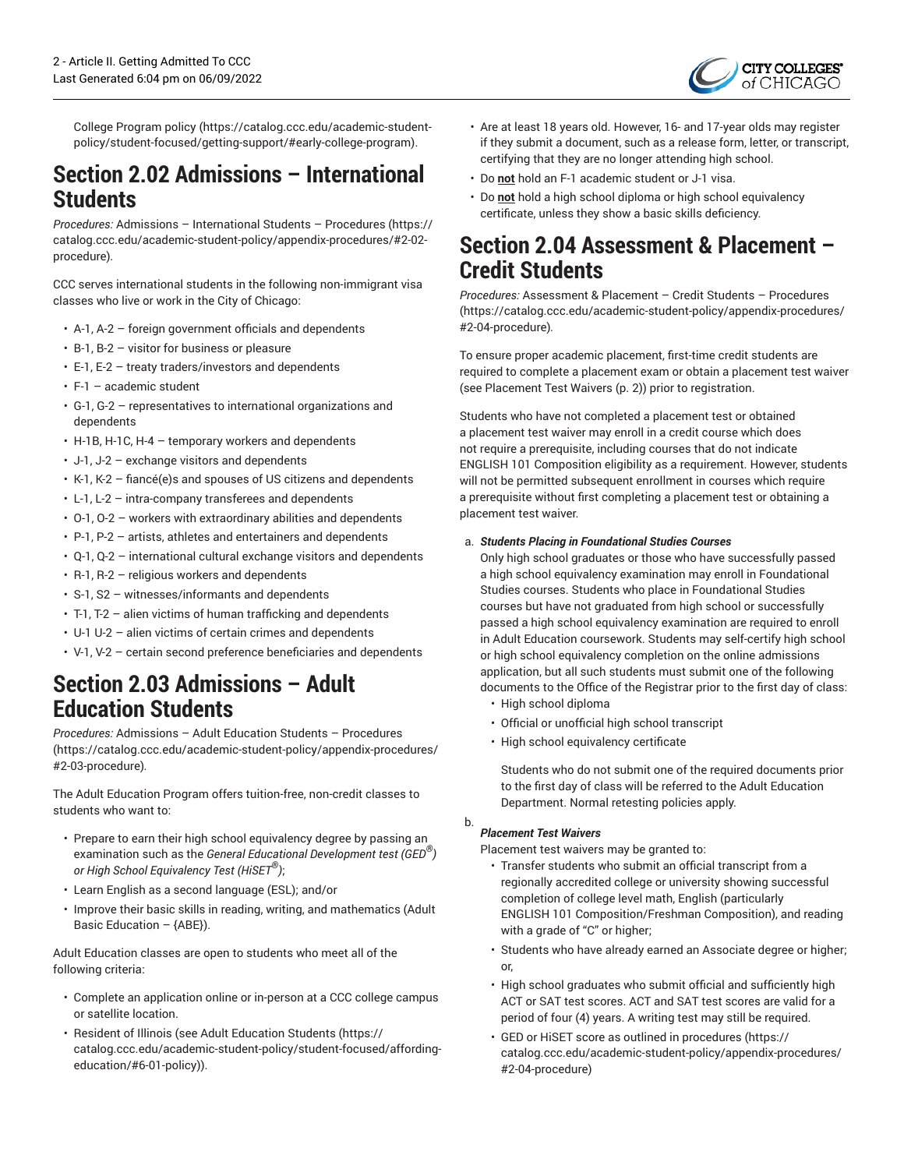

College [Program](https://catalog.ccc.edu/academic-student-policy/student-focused/getting-support/#early-college-program) policy ([https://catalog.ccc.edu/academic-student](https://catalog.ccc.edu/academic-student-policy/student-focused/getting-support/#early-college-program)[policy/student-focused/getting-support/#early-college-program\)](https://catalog.ccc.edu/academic-student-policy/student-focused/getting-support/#early-college-program).

## **Section 2.02 Admissions – International Students**

*Procedures:* Admissions – [International](https://catalog.ccc.edu/academic-student-policy/appendix-procedures/#2-02-procedure) Students – Procedures ([https://](https://catalog.ccc.edu/academic-student-policy/appendix-procedures/#2-02-procedure) [catalog.ccc.edu/academic-student-policy/appendix-procedures/#2-02](https://catalog.ccc.edu/academic-student-policy/appendix-procedures/#2-02-procedure) [procedure](https://catalog.ccc.edu/academic-student-policy/appendix-procedures/#2-02-procedure))*.*

CCC serves international students in the following non-immigrant visa classes who live or work in the City of Chicago:

- A-1, A-2 foreign government officials and dependents
- B-1, B-2 visitor for business or pleasure
- E-1, E-2 treaty traders/investors and dependents
- $\cdot$  F-1 academic student
- G-1, G-2 representatives to international organizations and dependents
- H-1B, H-1C, H-4 temporary workers and dependents
- J-1, J-2 exchange visitors and dependents
- K-1, K-2 fiancé(e)s and spouses of US citizens and dependents
- L-1, L-2 intra-company transferees and dependents
- O-1, O-2 workers with extraordinary abilities and dependents
- P-1, P-2 artists, athletes and entertainers and dependents
- $\cdot$  Q-1, Q-2 international cultural exchange visitors and dependents
- R-1, R-2 religious workers and dependents
- S-1, S2 witnesses/informants and dependents
- T-1, T-2 alien victims of human trafficking and dependents
- U-1 U-2 alien victims of certain crimes and dependents
- V-1, V-2 certain second preference beneficiaries and dependents

# **Section 2.03 Admissions – Adult Education Students**

*Procedures:* [Admissions](https://catalog.ccc.edu/academic-student-policy/appendix-procedures/#2-03-procedure) – Adult Education Students – Procedures ([https://catalog.ccc.edu/academic-student-policy/appendix-procedures/](https://catalog.ccc.edu/academic-student-policy/appendix-procedures/#2-03-procedure) [#2-03-procedure](https://catalog.ccc.edu/academic-student-policy/appendix-procedures/#2-03-procedure))*.*

The Adult Education Program offers tuition-free, non-credit classes to students who want to:

- Prepare to earn their high school equivalency degree by passing an examination such as the *General Educational Development test (GED ® ) or High School Equivalency Test (HiSET ® )*;
- Learn English as a second language (ESL); and/or
- Improve their basic skills in reading, writing, and mathematics (Adult Basic Education  $-$  {ABE}).

Adult Education classes are open to students who meet all of the following criteria:

- Complete an application online or in-person at a CCC college campus or satellite location.
- Resident of Illinois (see Adult [Education](https://catalog.ccc.edu/academic-student-policy/student-focused/affording-education/#6-01-policy) Students [\(https://](https://catalog.ccc.edu/academic-student-policy/student-focused/affording-education/#6-01-policy) [catalog.ccc.edu/academic-student-policy/student-focused/affording](https://catalog.ccc.edu/academic-student-policy/student-focused/affording-education/#6-01-policy)[education/#6-01-policy](https://catalog.ccc.edu/academic-student-policy/student-focused/affording-education/#6-01-policy))).
- Are at least 18 years old. However, 16- and 17-year olds may register if they submit a document, such as a release form, letter, or transcript, certifying that they are no longer attending high school.
- Do **not** hold an F-1 academic student or J-1 visa.
- Do **not** hold a high school diploma or high school equivalency certificate, unless they show a basic skills deficiency.

# **Section 2.04 Assessment & Placement – Credit Students**

*Procedures:* [Assessment](https://catalog.ccc.edu/academic-student-policy/appendix-procedures/#2-04-procedure) & Placement – Credit Students – Procedures [\(https://catalog.ccc.edu/academic-student-policy/appendix-procedures/](https://catalog.ccc.edu/academic-student-policy/appendix-procedures/#2-04-procedure) [#2-04-procedure](https://catalog.ccc.edu/academic-student-policy/appendix-procedures/#2-04-procedure))*.*

To ensure proper academic placement, first-time credit students are required to complete a placement exam or obtain a placement test waiver (see [Placement](#page-1-0) Test Waivers ([p. 2\)](#page-1-0)) prior to registration.

Students who have not completed a placement test or obtained a placement test waiver may enroll in a credit course which does not require a prerequisite, including courses that do not indicate ENGLISH 101 Composition eligibility as a requirement. However, students will not be permitted subsequent enrollment in courses which require a prerequisite without first completing a placement test or obtaining a placement test waiver.

### a. *Students Placing in Foundational Studies Courses*

Only high school graduates or those who have successfully passed a high school equivalency examination may enroll in Foundational Studies courses. Students who place in Foundational Studies courses but have not graduated from high school or successfully passed a high school equivalency examination are required to enroll in Adult Education coursework. Students may self-certify high school or high school equivalency completion on the online admissions application, but all such students must submit one of the following documents to the Office of the Registrar prior to the first day of class:

- High school diploma
- Official or unofficial high school transcript
- High school equivalency certificate

Students who do not submit one of the required documents prior to the first day of class will be referred to the Adult Education Department. Normal retesting policies apply.

b.

### <span id="page-1-0"></span>*Placement Test Waivers*

Placement test waivers may be granted to:

- Transfer students who submit an official transcript from a regionally accredited college or university showing successful completion of college level math, English (particularly ENGLISH 101 Composition/Freshman Composition), and reading with a grade of "C" or higher;
- Students who have already earned an Associate degree or higher; or,
- High school graduates who submit official and sufficiently high ACT or SAT test scores. ACT and SAT test scores are valid for a period of four (4) years. A writing test may still be required.
- GED or HiSET score as outlined in [procedures \(https://](https://catalog.ccc.edu/academic-student-policy/appendix-procedures/#2-04-procedure) [catalog.ccc.edu/academic-student-policy/appendix-procedures/](https://catalog.ccc.edu/academic-student-policy/appendix-procedures/#2-04-procedure) [#2-04-procedure](https://catalog.ccc.edu/academic-student-policy/appendix-procedures/#2-04-procedure))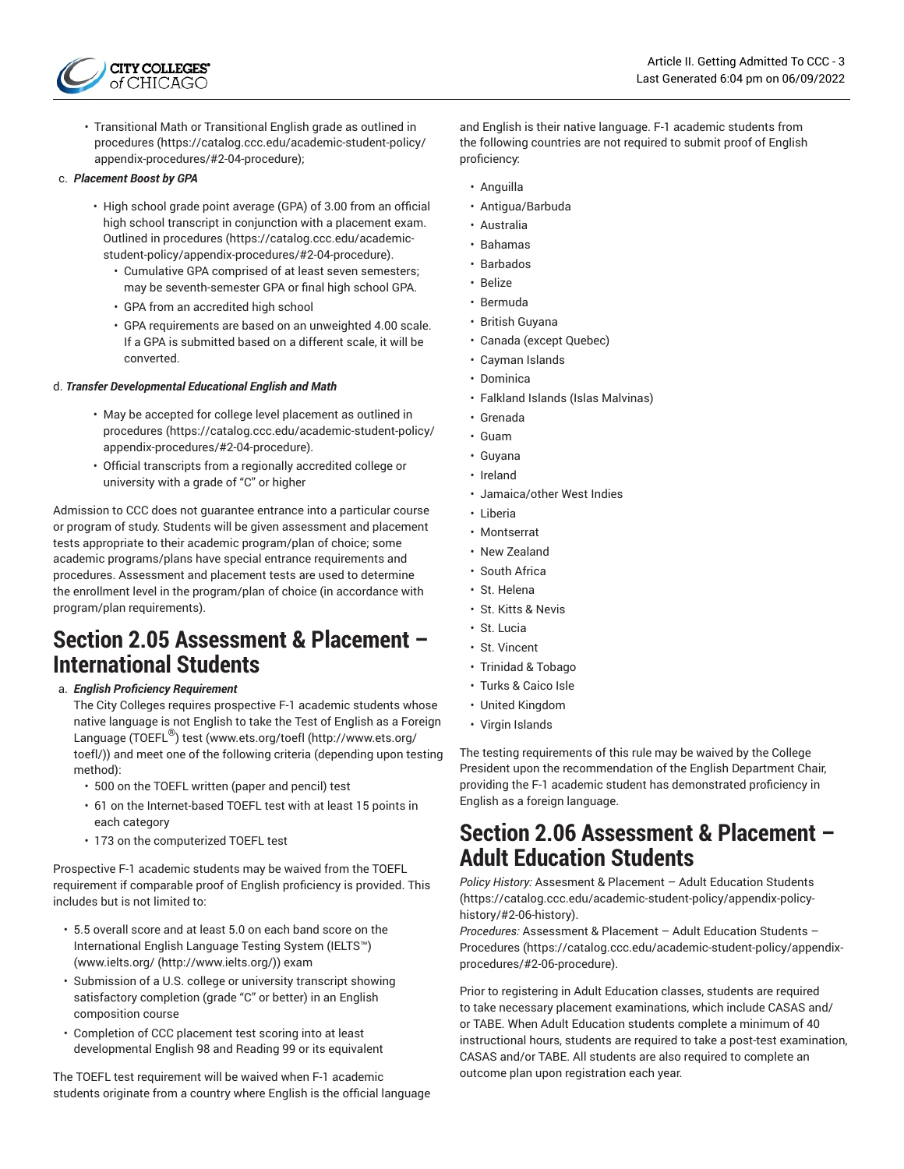

• Transitional Math or Transitional English grade as outlined in [procedures](https://catalog.ccc.edu/academic-student-policy/appendix-procedures/#2-04-procedure) [\(https://catalog.ccc.edu/academic-student-policy/](https://catalog.ccc.edu/academic-student-policy/appendix-procedures/#2-04-procedure) [appendix-procedures/#2-04-procedure\)](https://catalog.ccc.edu/academic-student-policy/appendix-procedures/#2-04-procedure);

#### c. *Placement Boost by GPA*

- High school grade point average (GPA) of 3.00 from an official high school transcript in conjunction with a placement exam. Outlined in [procedures](https://catalog.ccc.edu/academic-student-policy/appendix-procedures/#2-04-procedure) ([https://catalog.ccc.edu/academic](https://catalog.ccc.edu/academic-student-policy/appendix-procedures/#2-04-procedure)[student-policy/appendix-procedures/#2-04-procedure](https://catalog.ccc.edu/academic-student-policy/appendix-procedures/#2-04-procedure)).
	- Cumulative GPA comprised of at least seven semesters; may be seventh-semester GPA or final high school GPA.
	- GPA from an accredited high school
	- GPA requirements are based on an unweighted 4.00 scale. If a GPA is submitted based on a different scale, it will be converted.

### d. *Transfer Developmental Educational English and Math*

- May be accepted for college level placement as outlined in [procedures](https://catalog.ccc.edu/academic-student-policy/appendix-procedures/#2-04-procedure) [\(https://catalog.ccc.edu/academic-student-policy/](https://catalog.ccc.edu/academic-student-policy/appendix-procedures/#2-04-procedure) [appendix-procedures/#2-04-procedure\)](https://catalog.ccc.edu/academic-student-policy/appendix-procedures/#2-04-procedure).
- Official transcripts from a regionally accredited college or university with a grade of "C" or higher

Admission to CCC does not guarantee entrance into a particular course or program of study. Students will be given assessment and placement tests appropriate to their academic program/plan of choice; some academic programs/plans have special entrance requirements and procedures. Assessment and placement tests are used to determine the enrollment level in the program/plan of choice (in accordance with program/plan requirements).

### **Section 2.05 Assessment & Placement – International Students**

a. *English Proficiency Requirement*

The City Colleges requires prospective F-1 academic students whose native language is not English to take the Test of English as a Foreign Language (TOEFL®) test [\(www.ets.org/toefl](http://www.ets.org/toefl/) [\(http://www.ets.org/](http://www.ets.org/toefl/) [toefl/\)](http://www.ets.org/toefl/)) and meet one of the following criteria (depending upon testing method):

- 500 on the TOEFL written (paper and pencil) test
- 61 on the Internet-based TOEFL test with at least 15 points in each category
- 173 on the computerized TOEFL test

Prospective F-1 academic students may be waived from the TOEFL requirement if comparable proof of English proficiency is provided. This includes but is not limited to:

- 5.5 overall score and at least 5.0 on each band score on the International English Language Testing System (IELTS™) ([www.ielts.org/ \(http://www.ielts.org/\)](http://www.ielts.org/)) exam
- Submission of a U.S. college or university transcript showing satisfactory completion (grade "C" or better) in an English composition course
- Completion of CCC placement test scoring into at least developmental English 98 and Reading 99 or its equivalent

The TOEFL test requirement will be waived when F-1 academic students originate from a country where English is the official language and English is their native language. F-1 academic students from the following countries are not required to submit proof of English proficiency:

- Anguilla
- Antigua/Barbuda
- Australia
- Bahamas
- Barbados
- Belize
- Bermuda
- British Guyana
- Canada (except Quebec)
- Cayman Islands
- Dominica
- Falkland Islands (Islas Malvinas)
- Grenada
- Guam
- Guyana
- Ireland
- Jamaica/other West Indies
- Liberia
- Montserrat
- New Zealand
- South Africa
- St. Helena
- St. Kitts & Nevis
- St. Lucia
- St. Vincent
- Trinidad & Tobago
- Turks & Caico Isle
- United Kingdom
- Virgin Islands

The testing requirements of this rule may be waived by the College President upon the recommendation of the English Department Chair, providing the F-1 academic student has demonstrated proficiency in English as a foreign language.

### **Section 2.06 Assessment & Placement – Adult Education Students**

*Policy History:* [Assesment](https://catalog.ccc.edu/academic-student-policy/appendix-policy-history/#2-06-history) & Placement – Adult Education Students [\(https://catalog.ccc.edu/academic-student-policy/appendix-policy](https://catalog.ccc.edu/academic-student-policy/appendix-policy-history/#2-06-history)[history/#2-06-history](https://catalog.ccc.edu/academic-student-policy/appendix-policy-history/#2-06-history)).

*Procedures:* [Assessment](https://catalog.ccc.edu/academic-student-policy/appendix-procedures/#2-06-procedure) & Placement – Adult Education Students – [Procedures](https://catalog.ccc.edu/academic-student-policy/appendix-procedures/#2-06-procedure) ([https://catalog.ccc.edu/academic-student-policy/appendix](https://catalog.ccc.edu/academic-student-policy/appendix-procedures/#2-06-procedure)[procedures/#2-06-procedure](https://catalog.ccc.edu/academic-student-policy/appendix-procedures/#2-06-procedure)).

Prior to registering in Adult Education classes, students are required to take necessary placement examinations, which include CASAS and/ or TABE. When Adult Education students complete a minimum of 40 instructional hours, students are required to take a post-test examination, CASAS and/or TABE. All students are also required to complete an outcome plan upon registration each year.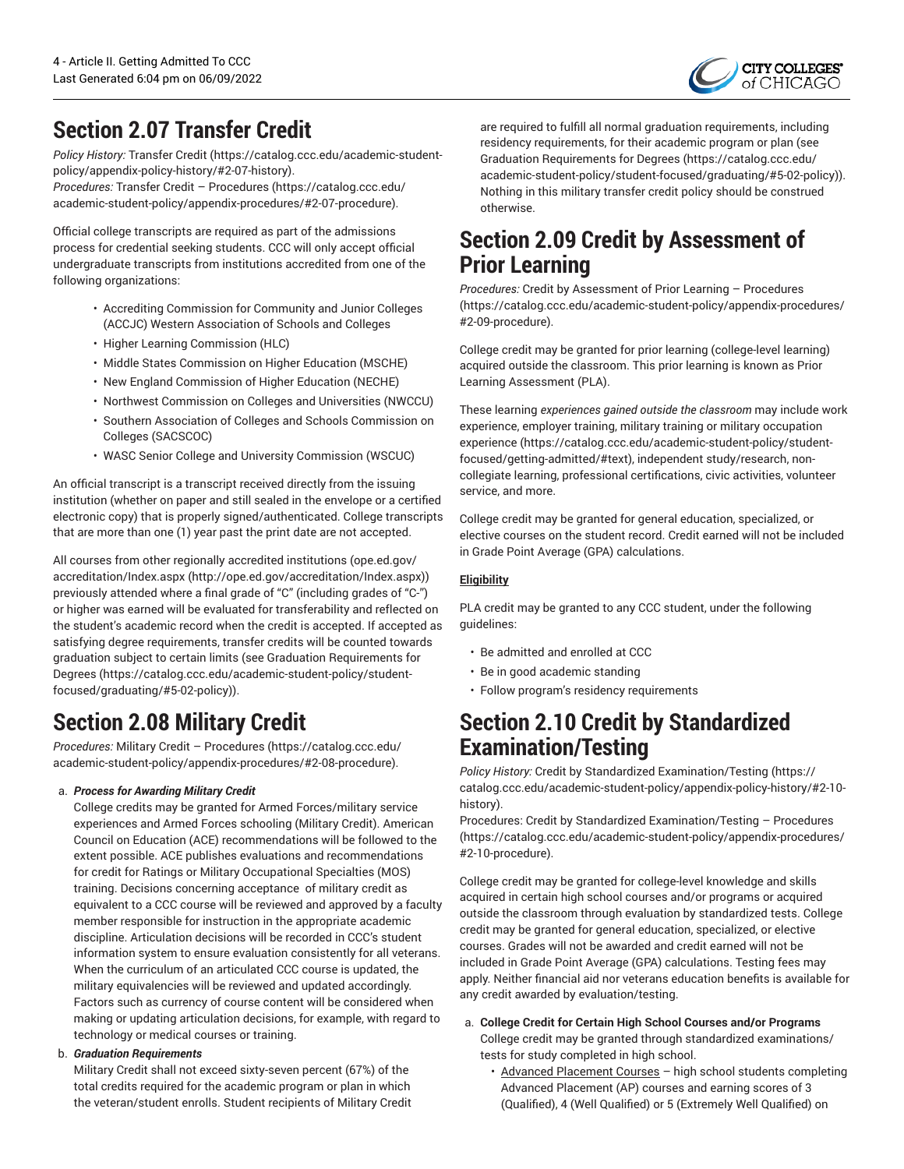

# <span id="page-3-0"></span>**Section 2.07 Transfer Credit**

*Policy History:* [Transfer](https://catalog.ccc.edu/academic-student-policy/appendix-policy-history/#2-07-history) Credit ([https://catalog.ccc.edu/academic-student](https://catalog.ccc.edu/academic-student-policy/appendix-policy-history/#2-07-history)[policy/appendix-policy-history/#2-07-history](https://catalog.ccc.edu/academic-student-policy/appendix-policy-history/#2-07-history)). *Procedures:* Transfer Credit – [Procedures](https://catalog.ccc.edu/academic-student-policy/appendix-procedures/#2-07-procedure) ([https://catalog.ccc.edu/](https://catalog.ccc.edu/academic-student-policy/appendix-procedures/#2-07-procedure)

Official college transcripts are required as part of the admissions process for credential seeking students. CCC will only accept official undergraduate transcripts from institutions accredited from one of the following organizations:

[academic-student-policy/appendix-procedures/#2-07-procedure](https://catalog.ccc.edu/academic-student-policy/appendix-procedures/#2-07-procedure)).

- Accrediting Commission for Community and Junior Colleges (ACCJC) Western Association of Schools and Colleges
- Higher Learning Commission (HLC)
- Middle States Commission on Higher Education (MSCHE)
- New England Commission of Higher Education (NECHE)
- Northwest Commission on Colleges and Universities (NWCCU)
- Southern Association of Colleges and Schools Commission on Colleges (SACSCOC)
- WASC Senior College and University Commission (WSCUC)

An official transcript is a transcript received directly from the issuing institution (whether on paper and still sealed in the envelope or a certified electronic copy) that is properly signed/authenticated. College transcripts that are more than one (1) year past the print date are not accepted.

All courses from other regionally accredited institutions ([ope.ed.gov/](http://ope.ed.gov/accreditation/Index.aspx) [accreditation/Index.aspx](http://ope.ed.gov/accreditation/Index.aspx) [\(http://ope.ed.gov/accreditation/Index.aspx](http://ope.ed.gov/accreditation/Index.aspx))) previously attended where a final grade of "C" (including grades of "C-") or higher was earned will be evaluated for transferability and reflected on the student's academic record when the credit is accepted. If accepted as satisfying degree requirements, transfer credits will be counted towards graduation subject to certain limits (see Graduation [Requirements](https://catalog.ccc.edu/academic-student-policy/student-focused/graduating/#5-02-policy) for [Degrees](https://catalog.ccc.edu/academic-student-policy/student-focused/graduating/#5-02-policy) ([https://catalog.ccc.edu/academic-student-policy/student](https://catalog.ccc.edu/academic-student-policy/student-focused/graduating/#5-02-policy)[focused/graduating/#5-02-policy\)](https://catalog.ccc.edu/academic-student-policy/student-focused/graduating/#5-02-policy)).

# **Section 2.08 Military Credit**

*Procedures:* Military Credit – [Procedures](https://catalog.ccc.edu/academic-student-policy/appendix-procedures/#2-08-procedure) [\(https://catalog.ccc.edu/](https://catalog.ccc.edu/academic-student-policy/appendix-procedures/#2-08-procedure) [academic-student-policy/appendix-procedures/#2-08-procedure](https://catalog.ccc.edu/academic-student-policy/appendix-procedures/#2-08-procedure)).

### a. *Process for Awarding Military Credit*

College credits may be granted for Armed Forces/military service experiences and Armed Forces schooling (Military Credit). American Council on Education (ACE) recommendations will be followed to the extent possible. ACE publishes evaluations and recommendations for credit for Ratings or Military Occupational Specialties (MOS) training. Decisions concerning acceptance of military credit as equivalent to a CCC course will be reviewed and approved by a faculty member responsible for instruction in the appropriate academic discipline. Articulation decisions will be recorded in CCC's student information system to ensure evaluation consistently for all veterans. When the curriculum of an articulated CCC course is updated, the military equivalencies will be reviewed and updated accordingly. Factors such as currency of course content will be considered when making or updating articulation decisions, for example, with regard to technology or medical courses or training.

### b. *Graduation Requirements*

Military Credit shall not exceed sixty-seven percent (67%) of the total credits required for the academic program or plan in which the veteran/student enrolls. Student recipients of Military Credit are required to fulfill all normal graduation requirements, including residency requirements, for their academic program or plan (see Graduation [Requirements](https://catalog.ccc.edu/academic-student-policy/student-focused/graduating/#5-02-policy) for Degrees [\(https://catalog.ccc.edu/](https://catalog.ccc.edu/academic-student-policy/student-focused/graduating/#5-02-policy) [academic-student-policy/student-focused/graduating/#5-02-policy\)](https://catalog.ccc.edu/academic-student-policy/student-focused/graduating/#5-02-policy)). Nothing in this military transfer credit policy should be construed otherwise.

## **Section 2.09 Credit by Assessment of Prior Learning**

*Procedures:* Credit by [Assessment](https://catalog.ccc.edu/academic-student-policy/appendix-procedures/#2-09-procedure) of Prior Learning – Procedures [\(https://catalog.ccc.edu/academic-student-policy/appendix-procedures/](https://catalog.ccc.edu/academic-student-policy/appendix-procedures/#2-09-procedure) [#2-09-procedure](https://catalog.ccc.edu/academic-student-policy/appendix-procedures/#2-09-procedure)).

College credit may be granted for prior learning (college-level learning) acquired outside the classroom. This prior learning is known as Prior Learning Assessment (PLA).

These learning *experiences gained outside the classroom* may include work experience, employer training, military training or military [occupation](https://catalog.ccc.edu/academic-student-policy/student-focused/getting-admitted/#text) [experience](https://catalog.ccc.edu/academic-student-policy/student-focused/getting-admitted/#text) [\(https://catalog.ccc.edu/academic-student-policy/student](https://catalog.ccc.edu/academic-student-policy/student-focused/getting-admitted/#text)[focused/getting-admitted/#text\)](https://catalog.ccc.edu/academic-student-policy/student-focused/getting-admitted/#text), independent study/research, noncollegiate learning, professional certifications, civic activities, volunteer service, and more.

College credit may be granted for general education, specialized, or elective courses on the student record. Credit earned will not be included in Grade Point Average (GPA) calculations.

### **Eligibility**

PLA credit may be granted to any CCC student, under the following guidelines:

- Be admitted and enrolled at CCC
- Be in good academic standing
- Follow program's residency requirements

# **Section 2.10 Credit by Standardized Examination/Testing**

*Policy History:* Credit by Standardized [Examination/Testing \(https://](https://catalog.ccc.edu/academic-student-policy/appendix-policy-history/#2-10-history) [catalog.ccc.edu/academic-student-policy/appendix-policy-history/#2-10](https://catalog.ccc.edu/academic-student-policy/appendix-policy-history/#2-10-history) [history](https://catalog.ccc.edu/academic-student-policy/appendix-policy-history/#2-10-history)).

Procedures: Credit by Standardized [Examination/Testing](https://catalog.ccc.edu/academic-student-policy/appendix-procedures/#2-10-procedure) – Procedures [\(https://catalog.ccc.edu/academic-student-policy/appendix-procedures/](https://catalog.ccc.edu/academic-student-policy/appendix-procedures/#2-10-procedure) [#2-10-procedure](https://catalog.ccc.edu/academic-student-policy/appendix-procedures/#2-10-procedure)).

College credit may be granted for college-level knowledge and skills acquired in certain high school courses and/or programs or acquired outside the classroom through evaluation by standardized tests. College credit may be granted for general education, specialized, or elective courses. Grades will not be awarded and credit earned will not be included in Grade Point Average (GPA) calculations. Testing fees may apply. Neither financial aid nor veterans education benefits is available for any credit awarded by evaluation/testing.

- a. **College Credit for Certain High School Courses and/or Programs** College credit may be granted through standardized examinations/ tests for study completed in high school.
	- Advanced Placement Courses high school students completing Advanced Placement (AP) courses and earning scores of 3 (Qualified), 4 (Well Qualified) or 5 (Extremely Well Qualified) on